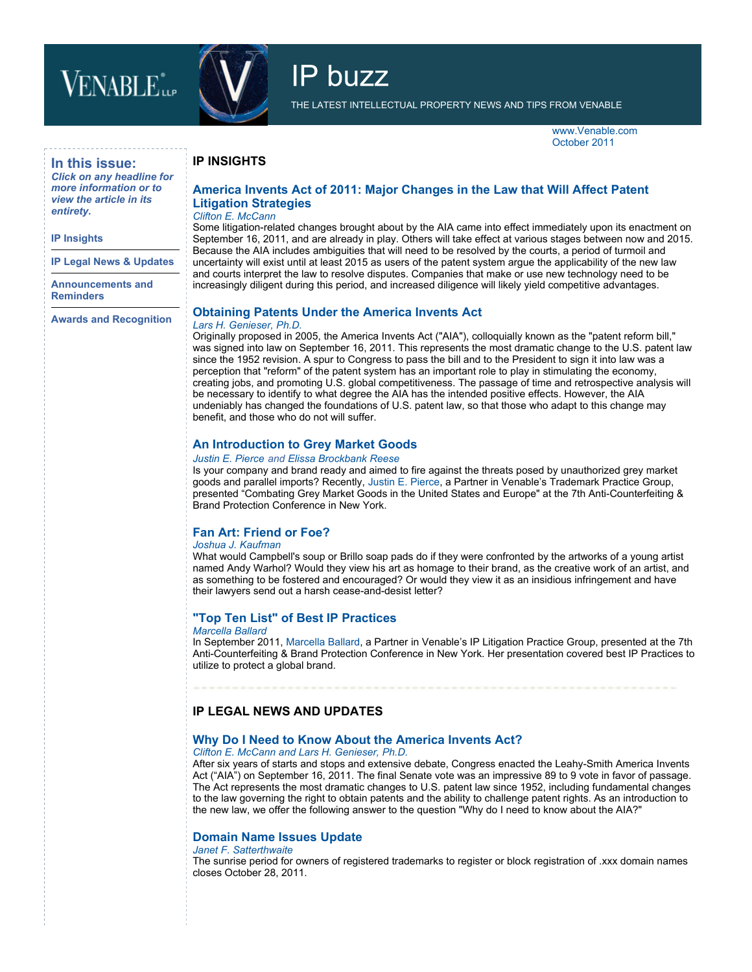# **VENABLE** in



IP buzz

THE LATEST INTELLECTUAL PROPERTY NEWS AND TIPS FROM VENABLE

www.Venable.com October 2011

## **In this issue:**

*Click on any headline for more information or to view the article in its entirety.*

#### **IP Insights**

**[IP Legal News & Updates](#page-1-0)**

**[Announcements and](#page-1-0) Reminders**

**[Awards and Recognition](#page-2-0)**

## **[America Invents Act of 2011: Major Changes in the Law that Will Affect Patent](http://www.venable.com/files/Publication/c85fa084-348d-42ff-84d5-6f4094317834/Preview/PublicationAttachment/b6b06035-3cf8-4e87-8c84-756d7b825df5/America_Invents_Act_of_2011.pdf) Litigation Strategies**

#### *[Clifton E. McCann](http://www.venable.com/clifton-e-mccann/)*

**IP INSIGHTS**

Some litigation-related changes brought about by the AIA came into effect immediately upon its enactment on September 16, 2011, and are already in play. Others will take effect at various stages between now and 2015. Because the AIA includes ambiguities that will need to be resolved by the courts, a period of turmoil and uncertainty will exist until at least 2015 as users of the patent system argue the applicability of the new law and courts interpret the law to resolve disputes. Companies that make or use new technology need to be increasingly diligent during this period, and increased diligence will likely yield competitive advantages.

#### **[Obtaining Patents Under the America Invents Act](http://www.venable.com/obtaining-patents-under-the-america-invents-act-patent-reform-10-17-2011/)**

#### *[Lars H. Genieser, Ph.D.](http://www.venable.com/lars-h-genieser/)*

Originally proposed in 2005, the America Invents Act ("AIA"), colloquially known as the "patent reform bill," was signed into law on September 16, 2011. This represents the most dramatic change to the U.S. patent law since the 1952 revision. A spur to Congress to pass the bill and to the President to sign it into law was a perception that "reform" of the patent system has an important role to play in stimulating the economy, creating jobs, and promoting U.S. global competitiveness. The passage of time and retrospective analysis will be necessary to identify to what degree the AIA has the intended positive effects. However, the AIA undeniably has changed the foundations of U.S. patent law, so that those who adapt to this change may benefit, and those who do not will suffer.

#### **[An Introduction to Grey Market Goods](http://www.venable.com/an-introduction-to-grey-market-goods-10-14-2011/)**

#### *[Justin E. Pierce](http://www.venable.com/justin-e-pierce/) and [Elissa Brockbank Reese](http://www.venable.com/elissa-b-reese/)*

Is your company and brand ready and aimed to fire against the threats posed by unauthorized grey market goods and parallel imports? Recently, [Justin E. Pierce](http://www.venable.com/justin-e-pierce/), a Partner in Venable's Trademark Practice Group, presented "Combating Grey Market Goods in the United States and Europe" at the 7th Anti-Counterfeiting & Brand Protection Conference in New York.

## **[Fan Art: Friend or Foe?](http://www.venable.com/files/Publication/f9cb14ed-5ee1-43e7-9b98-231a7d64eb52/Presentation/PublicationAttachment/637a83c3-2c3c-4ab9-abd7-26a7a9fa1cc4/Fan_Art_-_Friend_or_Foe.pdf)**

#### *[Joshua J. Kaufman](http://www.venable.com/joshua-j-kaufman/)*

What would Campbell's soup or Brillo soap pads do if they were confronted by the artworks of a young artist named Andy Warhol? Would they view his art as homage to their brand, as the creative work of an artist, and as something to be fostered and encouraged? Or would they view it as an insidious infringement and have their lawyers send out a harsh cease-and-desist letter?

## **["Top Ten List" of Best IP Practices](http://www.venable.com/top-ten-list-of-best-ip-practices-10-13-2011/)**

#### *[Marcella Ballard](http://www.venable.com/marcella-ballard/)*

In September 2011, [Marcella Ballard](http://www.venable.com/marcella-ballard/), a Partner in Venable's IP Litigation Practice Group, presented at the 7th Anti-Counterfeiting & Brand Protection Conference in New York. Her presentation covered best IP Practices to utilize to protect a global brand.

# **IP LEGAL NEWS AND UPDATES**

## **[Why Do I Need to Know About the America Invents Act?](http://www.venable.com/files/Publication/7ccdbb74-f3c4-4c01-83b6-a70318ebf707/Preview/PublicationAttachment/d78d96b7-98bf-4cf6-a51e-ad0f8cbdb8ae/America_Invents_Act_of_2011.pdf)**

#### *[Clifton E. McCann](http://www.venable.com/clifton-e-mccann/) and [Lars H. Genieser, Ph.D.](http://www.venable.com/lars-h-genieser/)*

After six years of starts and stops and extensive debate, Congress enacted the Leahy-Smith America Invents Act ("AIA") on September 16, 2011. The final Senate vote was an impressive 89 to 9 vote in favor of passage. The Act represents the most dramatic changes to U.S. patent law since 1952, including fundamental changes to the law governing the right to obtain patents and the ability to challenge patent rights. As an introduction to the new law, we offer the following answer to the question "Why do I need to know about the AIA?"

#### **[Domain Name Issues Update](http://www.venable.com/domain-name-issues-update-10-13-2011/)**

## *[Janet F. Satterthwaite](http://www.venable.com/janet-f-satterthwaite/)*

The sunrise period for owners of registered trademarks to register or block registration of .xxx domain names closes October 28, 2011.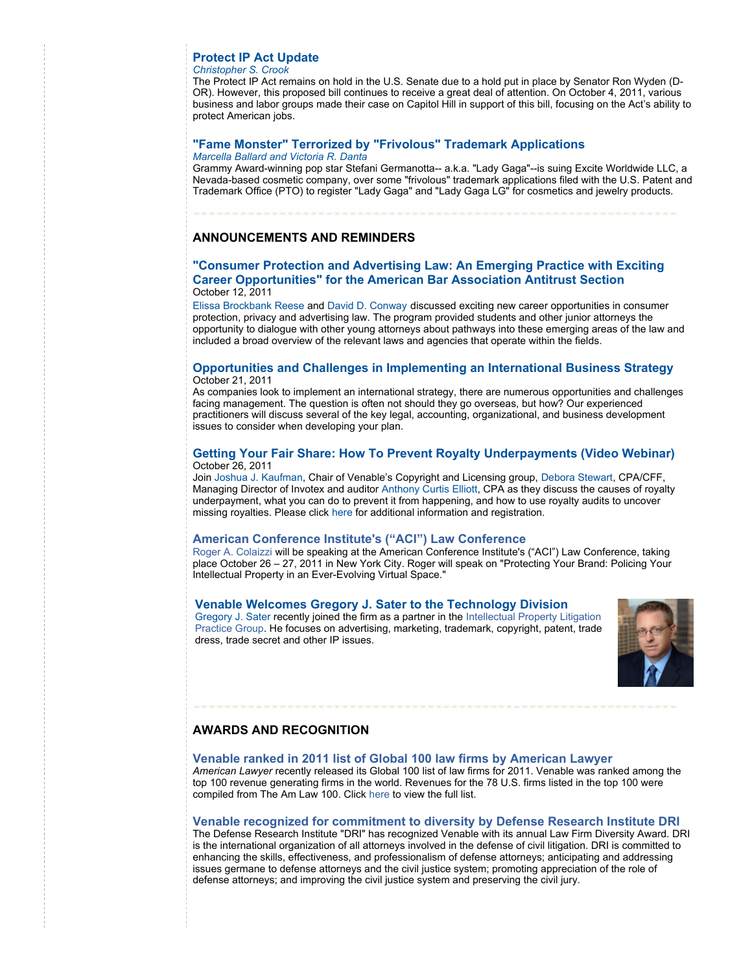## <span id="page-1-0"></span>**[Protect IP Act Update](http://www.venable.com/protect-ip-act-update-10-13-2011/)**

## *[Christopher S. Crook](http://www.venable.com/christopher-s-crook/)*

The Protect IP Act remains on hold in the U.S. Senate due to a hold put in place by Senator Ron Wyden (D-OR). However, this proposed bill continues to receive a great deal of attention. On October 4, 2011, various business and labor groups made their case on Capitol Hill in support of this bill, focusing on the Act's ability to protect American jobs.

# **["Fame Monster" Terrorized by "Frivolous" Trademark Applications](http://www.venable.com/fame-monster-lady-gaga-terrorized-by-frivolous-trademark-applications-10-13-2011/)**

#### *[Marcella Ballard](http://www.venable.com/marcella-ballard/) and [Victoria R. Danta](http://www.venable.com/victoria-r-danta/)*

Grammy Award-winning pop star Stefani Germanotta-- a.k.a. "Lady Gaga"--is suing Excite Worldwide LLC, a Nevada-based cosmetic company, over some "frivolous" trademark applications filed with the U.S. Patent and Trademark Office (PTO) to register "Lady Gaga" and "Lady Gaga LG" for cosmetics and jewelry products.

# **ANNOUNCEMENTS AND REMINDERS**

#### **["Consumer Protection and Advertising Law: An Emerging Practice with Exciting](http://www.venable.com/consumer-protection-and-advertising-law-an-emerging-practice-with-exciting-career-opportunities-for-the-american-bar-association-antitrust-section-10-12-2011/) Career Opportunities" for the American Bar Association Antitrust Section** October 12, 2011

[Elissa Brockbank Reese](http://www.venable.com/elissa-b-reese/) and [David D. Conway](http://www.venable.com/david-d-conway/) discussed exciting new career opportunities in consumer protection, privacy and advertising law. The program provided students and other junior attorneys the opportunity to dialogue with other young attorneys about pathways into these emerging areas of the law and included a broad overview of the relevant laws and agencies that operate within the fields.

#### **[Opportunities and Challenges in Implementing an International Business Strategy](http://www.venable.com/opportunities-and-challenges-in-implementing-an-international-business-strategy-10-21-2011/)** October 21, 2011

As companies look to implement an international strategy, there are numerous opportunities and challenges facing management. The question is often not should they go overseas, but how? Our experienced practitioners will discuss several of the key legal, accounting, organizational, and business development issues to consider when developing your plan.

#### **[Getting Your Fair Share: How To Prevent Royalty Underpayments \(Video Webinar\)](http://www.venable.com/getting-your-fair-share-how-to-prevent-royalty-underpayments-venable-video-webinar-10-26-2011/)** October 26, 2011

Join [Joshua J. Kaufman,](http://www.venable.com/joshua-j-kaufman/) Chair of Venable's Copyright and Licensing group, [Debora Stewart,](http://www.invotex.com/bio_drs.html) CPA/CFF, Managing Director of Invotex and auditor [Anthony Curtis Elliott,](http://images.magnetmail.net/images/clients/Venable/attach/AnthonyCElliot_Biography.pdf) CPA as they discuss the causes of royalty underpayment, what you can do to prevent it from happening, and how to use royalty audits to uncover missing royalties. Please click [here](http://www.venable.com/getting-your-fair-share-how-to-prevent-royalty-underpayments-venable-video-webinar-10-26-2011/) for additional information and registration.

#### **[American Conference Institute's \("ACI"\) Law Conference](http://www.venable.com/protecting-your-brand-policing-your-intellectual-property-in-an-ever-evolving-virtual-space-for-the-american-conference-institute-10-27-2011/)**

[Roger A. Colaizzi](http://www.venable.com/roger-a-colaizzi/) will be speaking at the American Conference Institute's ("ACI") Law Conference, taking place October 26 – 27, 2011 in New York City. Roger will speak on "Protecting Your Brand: Policing Your Intellectual Property in an Ever-Evolving Virtual Space."

#### **[Venable Welcomes Gregory J. Sater to the Technology Division](http://www.venable.com/gregory-j-sater/)**

[Gregory J. Sater](http://www.venable.com/gregory-j-sater/) recently joined the firm as a partner in the Intellectual Property Litigation [Practice Group. He focuses on advertising, marketing, trademark, copyright, patent, trade](http://www.venable.com/intellectual-property-litigation-practices/) dress, trade secret and other IP issues.



# **AWARDS AND RECOGNITION**

#### **[Venable ranked in 2011 list of Global 100 law firms by American Lawyer](http://www.venable.com/venable-makes-debut-on-amlaw-global-100-list/)**

*American Lawyer* recently released its Global 100 list of law firms for 2011. Venable was ranked among the top 100 revenue generating firms in the world. Revenues for the 78 U.S. firms listed in the top 100 were compiled from The Am Law 100. Click [here](http://www.law.com/jsp/tal/PubArticleTAL.jsp?id=1202471809600) to view the full list.

## **[Venable recognized for commitment to diversity by Defense Research Institute DRI](http://www.venable.com/NEP/pressreleases/NewsDetail.aspx?news=937f2c17-1897-4a70-a18b-f6d82c563b4d)**

The Defense Research Institute "DRI" has recognized Venable with its annual Law Firm Diversity Award. DRI is the international organization of all attorneys involved in the defense of civil litigation. DRI is committed to enhancing the skills, effectiveness, and professionalism of defense attorneys; anticipating and addressing issues germane to defense attorneys and the civil justice system; promoting appreciation of the role of defense attorneys; and improving the civil justice system and preserving the civil jury.